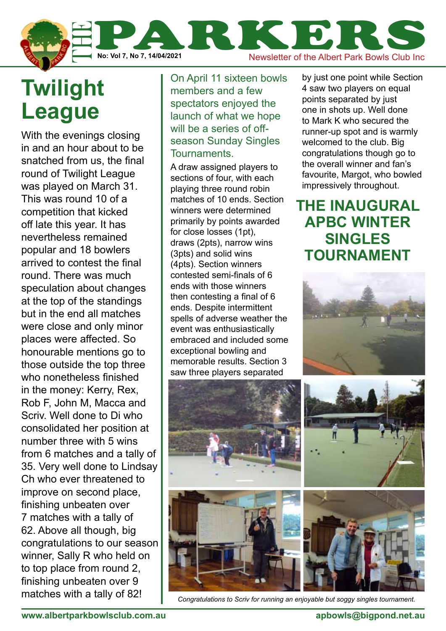

## **Twilight League**

nnnor, oan<br>Diton plaas to top place from round 2, finishing unbeaten over 9 matches with a tally of 82! With the evenings closing in and an hour about to be snatched from us, the final round of Twilight League was played on March 31. This was round 10 of a competition that kicked off late this year. It has nevertheless remained popular and 18 bowlers arrived to contest the final round. There was much speculation about changes at the top of the standings but in the end all matches were close and only minor places were affected. So honourable mentions go to those outside the top three who nonetheless finished in the money: Kerry, Rex, Rob F, John M, Macca and Scriv. Well done to Di who consolidated her position at number three with 5 wins from 6 matches and a tally of 35. Very well done to Lindsay Ch who ever threatened to improve on second place, finishing unbeaten over 7 matches with a tally of 62. Above all though, big congratulations to our season winner, Sally R who held on

On April 11 sixteen bowls members and a few spectators enjoyed the launch of what we hope will be a series of offseason Sunday Singles Tournaments.

A draw assigned players to sections of four, with each playing three round robin matches of 10 ends. Section winners were determined primarily by points awarded for close losses (1pt), draws (2pts), narrow wins (3pts) and solid wins (4pts). Section winners contested semi-finals of 6 ends with those winners then contesting a final of 6 ends. Despite intermittent spells of adverse weather the event was enthusiastically embraced and included some exceptional bowling and memorable results. Section 3 saw three players separated

by just one point while Section 4 saw two players on equal points separated by just one in shots up. Well done to Mark K who secured the runner-up spot and is warmly welcomed to the club. Big congratulations though go to the overall winner and fan's favourite, Margot, who bowled impressively throughout.

**The inaugural APBC winter singles tournament**





*Congratulations to Scriv for running an enjoyable but soggy singles tournament.*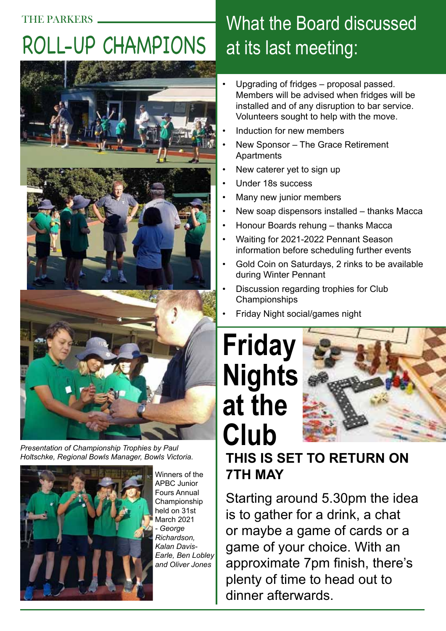# Roll-up champions



*Presentation of Championship Trophies by Paul Holtschke, Regional Bowls Manager, Bowls Victoria.*



Winners of the APBC Junior Fours Annual Championship held on 31st March 2021 *- George Richardson, Kalan Davis-Earle, Ben Lobley and Oliver Jones*

## What the Board discussed at its last meeting:

- Upgrading of fridges proposal passed. Members will be advised when fridges will be installed and of any disruption to bar service. Volunteers sought to help with the move.
- Induction for new members
- New Sponsor The Grace Retirement **Apartments**
- New caterer yet to sign up
- Under 18s success
- Many new junior members
- New soap dispensors installed thanks Macca
- Honour Boards rehung thanks Macca
- Waiting for 2021-2022 Pennant Season information before scheduling further events
- Gold Coin on Saturdays, 2 rinks to be available during Winter Pennant
- Discussion regarding trophies for Club Championships
- Friday Night social/games night

# **Friday Nights at the Club**



#### **This is set to return on 7th May**

Starting around 5.30pm the idea is to gather for a drink, a chat or maybe a game of cards or a game of your choice. With an approximate 7pm finish, there's plenty of time to head out to dinner afterwards.